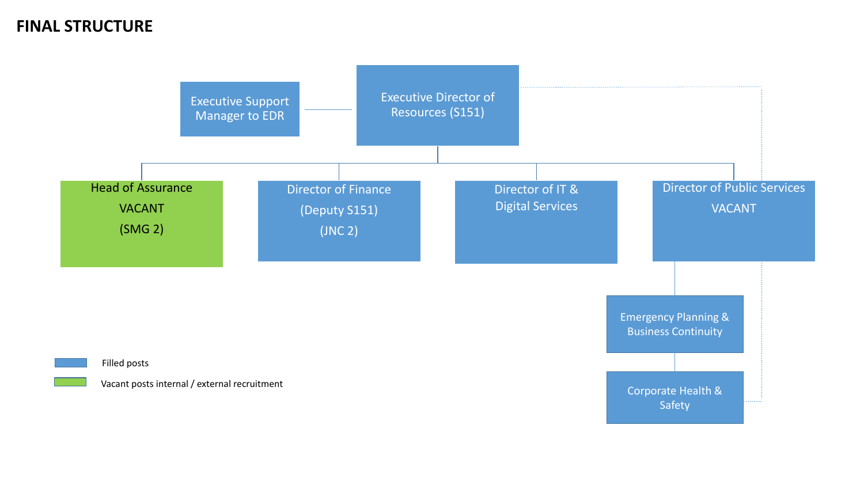





## **FINAL STRUCTURE**

Emergency Planning & Business Continuity

Corporate Health & Safety

Filled posts

Vacant posts internal / external recruitment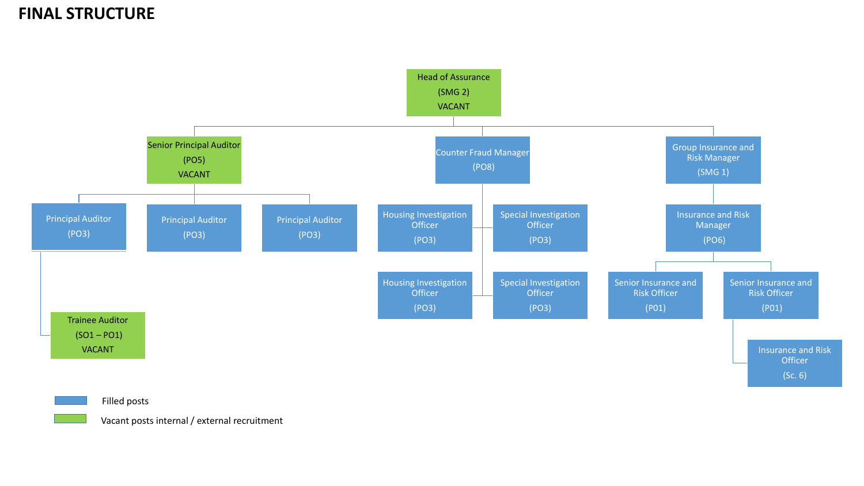

### **FINAL STRUCTURE**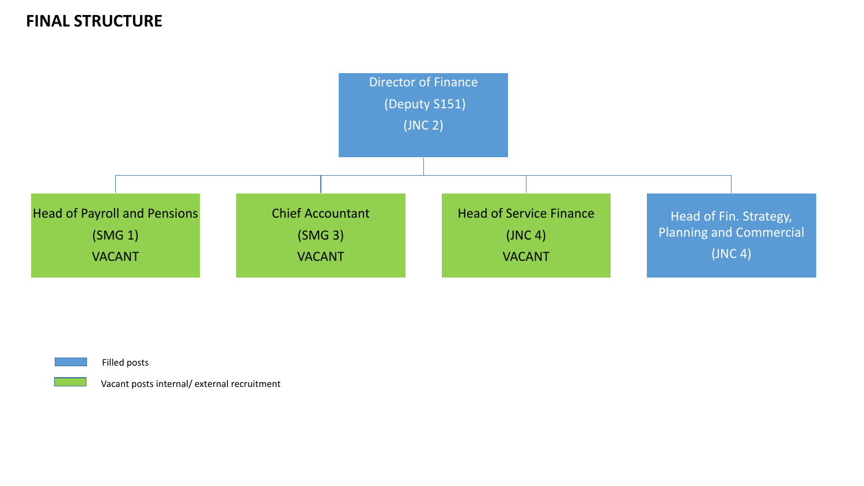



## Head of Fin. Strategy, Planning and Commercial (JNC 4)

# **FINAL STRUCTURE**

Filled posts

Vacant posts internal/ external recruitment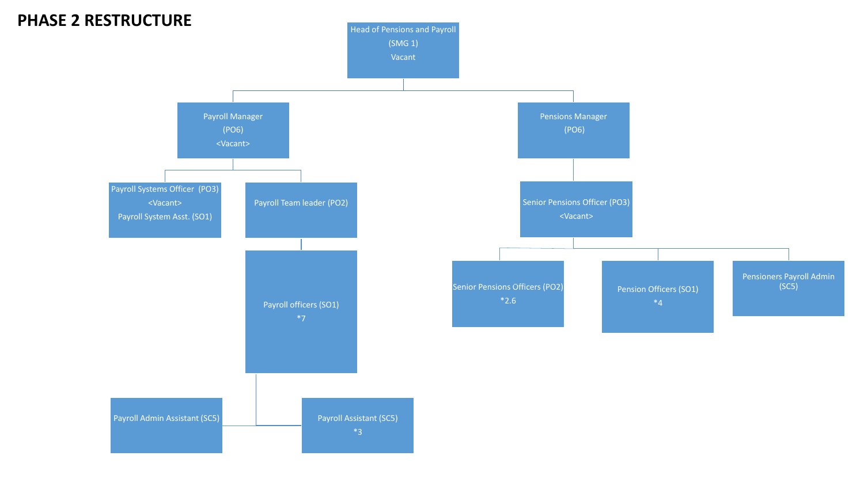Pension Officers (SO1) \*4



Pensioners Payroll Admin (SC5)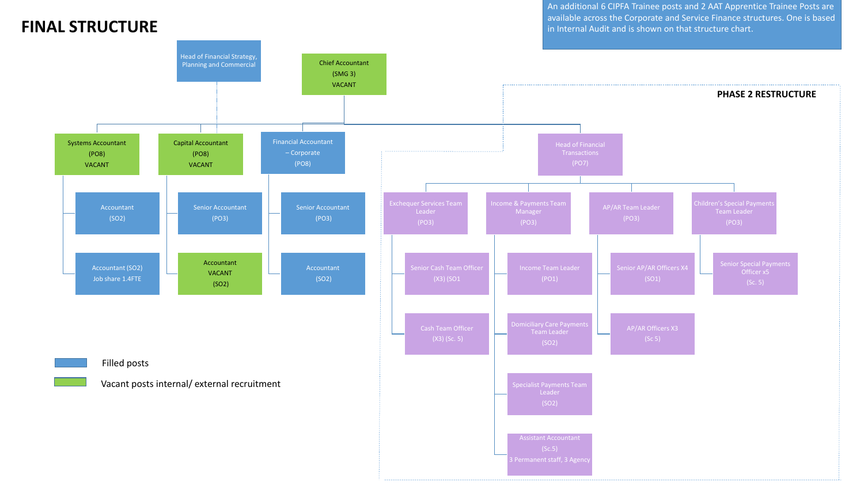An additional 6 CIPFA Trainee posts and 2 AAT Apprentice Trainee Posts are available across the Corporate and Service Finance structures. One is based **FINAL STRUCTURE in Internal Audit and is shown on that structure chart.** 

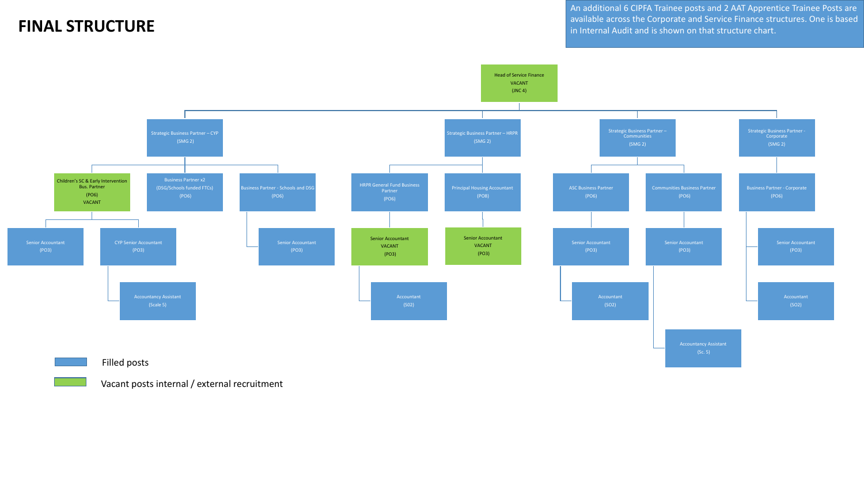



### **FINAL STRUCTURE**

### Filled posts

Vacant posts internal / external recruitment

An additional 6 CIPFA Trainee posts and 2 AAT Apprentice Trainee Posts are available across the Corporate and Service Finance structures. One is based in Internal Audit and is shown on that structure chart.